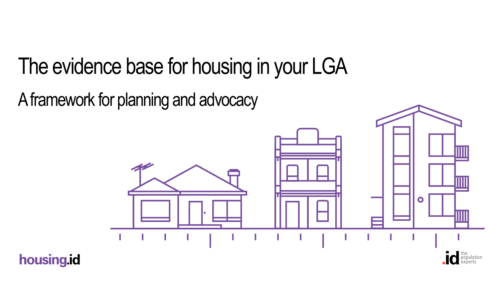# The evidence base for housing in your LGA

A framework for planning and advocacy



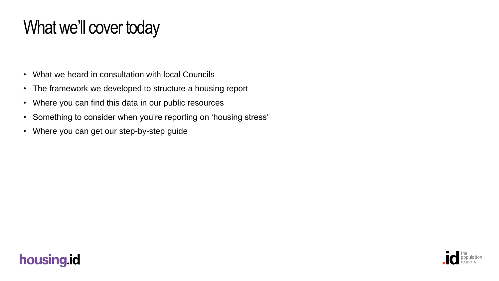## What we'll cover today

- What we heard in consultation with local Councils
- The framework we developed to structure a housing report
- Where you can find this data in our public resources
- Something to consider when you're reporting on 'housing stress'
- Where you can get our step-by-step guide



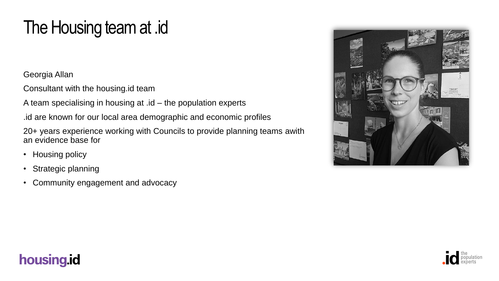## The Housing team at .id

Georgia Allan

Consultant with the housing.id team

A team specialising in housing at .id – the population experts

.id are known for our local area demographic and economic profiles

20+ years experience working with Councils to provide planning teams awith an evidence base for

- Housing policy
- Strategic planning
- Community engagement and advocacy



#### housing.id

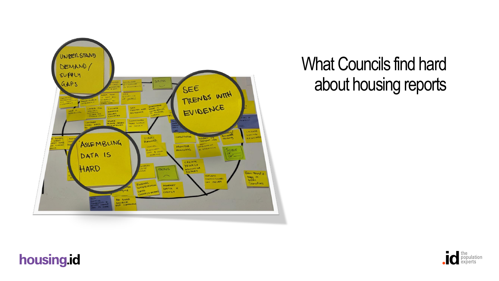

### What Councils find hard about housing reports

#### housing.id

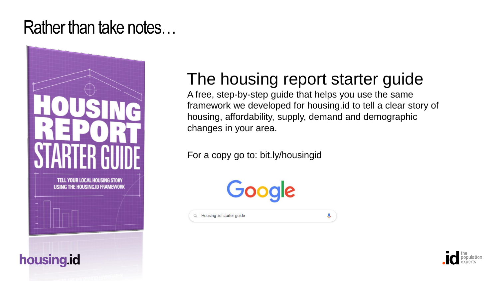#### Rather than take notes…



housing.id

#### The housing report starter guide

A free, step-by-step guide that helps you use the same framework we developed for housing.id to tell a clear story of housing, affordability, supply, demand and demographic changes in your area.

For a copy go to: bit.ly/housingid

Google

Q Housing .id starter guide

 $\mathbf{J}$ 

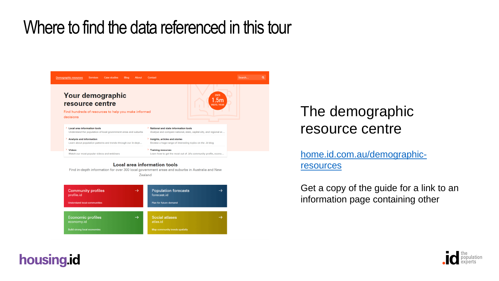### Where to find the data referenced in this tour



Find in-depth information for over 300 local government areas and suburbs in Australia and New Zealand

#### **Community profiles Population forecasts**  $\rightarrow$  $\rightarrow$ profile.id forecast.id Plan for future demand **Understand local communities Economic profiles**  $\rightarrow$ **Social atlases** economy.id atlas.id **Build strong local economies** Map community trends spatially

#### The demographic resource centre

[home.id.com.au/demographic](http://home.id.com.au/demographic-resources)resources

Get a copy of the guide for a link to an information page containing other



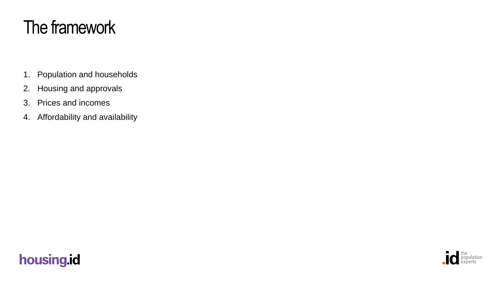## The framework

- 1. Population and households
- 2. Housing and approvals
- 3. Prices and incomes
- 4. Affordability and availability

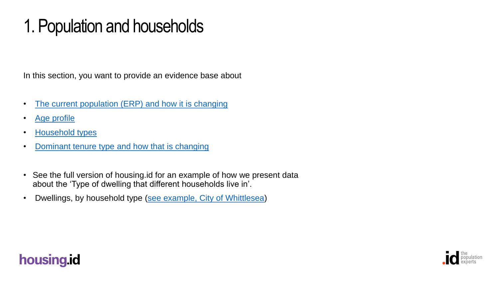## 1. Population and households

In this section, you want to provide an evidence base about

- [The current population \(ERP\) and how it is changing](https://profile.id.com.au/whittlesea/population-estimate)
- [Age profile](https://profile.id.com.au/whittlesea/five-year-age-groups)
- [Household types](https://profile.id.com.au/whittlesea/households)
- [Dominant tenure type and how that is changing](https://profile.id.com.au/whittlesea/tenure)
- See the full version of housing.id for an example of how we present data about the 'Type of dwelling that different households live in'.
- Dwellings, by household type [\(see example, City of Whittlesea\)](https://housing.id.com.au/whittlesea/population-households)



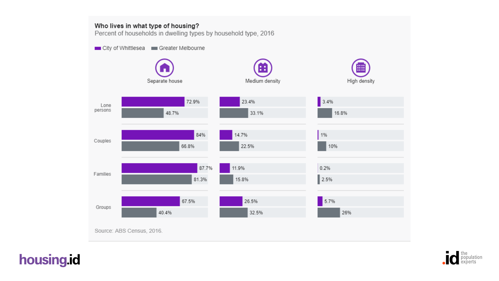#### Who lives in what type of housing?

Percent of households in dwelling types by household type, 2016

City of Whittlesea Greater Melbourne



Source: ABS Census, 2016.



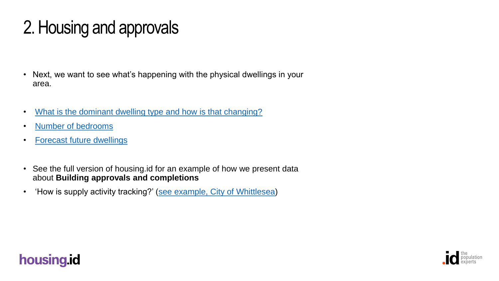## 2. Housing and approvals

- Next, we want to see what's happening with the physical dwellings in your area.
- [What is the dominant dwelling type and how is that changing?](https://profile.id.com.au/whittlesea/dwellings)
- [Number of bedrooms](https://profile.id.com.au/whittlesea/bedrooms)
- [Forecast future dwellings](https://forecast.id.com.au/whittlesea/population-households-dwellings)
- See the full version of housing.id for an example of how we present data about **Building approvals and completions**
- 'How is supply activity tracking?' ([see example, City of Whittlesea](https://housing.id.com.au/whittlesea/housing-and-approvals))



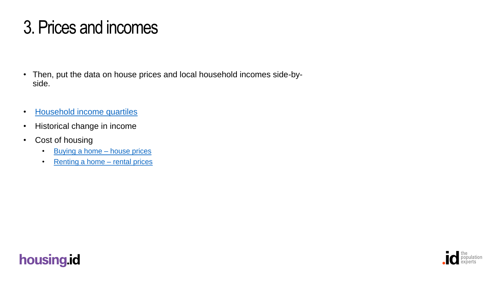## 3. Prices and incomes

- Then, put the data on house prices and local household incomes side-byside.
- [Household income quartiles](https://profile.id.com.au/whittlesea/household-income-quartiles)
- Historical change in income
- Cost of housing
	- [Buying a home –](https://economy.id.com.au/whittlesea/housing-values) house prices
	- [Renting a home –](https://economy.id.com.au/whittlesea/rental-listings) rental prices



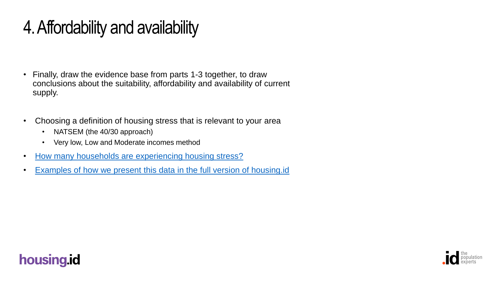## 4. Affordability and availability

- Finally, draw the evidence base from parts 1-3 together, to draw conclusions about the suitability, affordability and availability of current supply.
- Choosing a definition of housing stress that is relevant to your area
	- NATSEM (the 40/30 approach)
	- Very low, Low and Moderate incomes method
- [How many households are experiencing housing stress?](https://atlas.id.com.au/whittlesea)
- [Examples of how we present this data in the full version of housing.id](https://housing.id.com.au/whittlesea/affordability-and-availability)



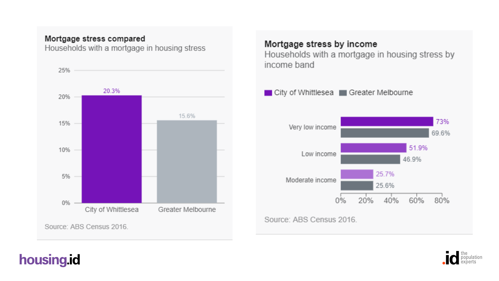#### Mortgage stress compared

Households with a mortgage in housing stress



#### Mortgage stress by income

Households with a mortgage in housing stress by income band



Source: ABS Census 2016.

#### housing.id

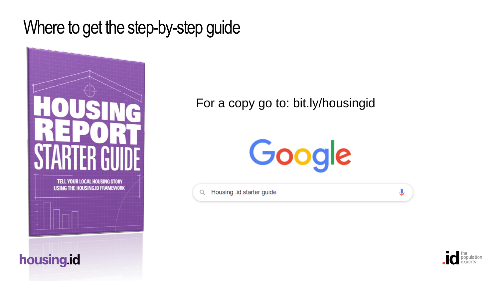Where to get the step-by-step guide



housing.id

#### For a copy go to: bit.ly/housingid



Housing .id starter guide  $\alpha$ 



Ļ